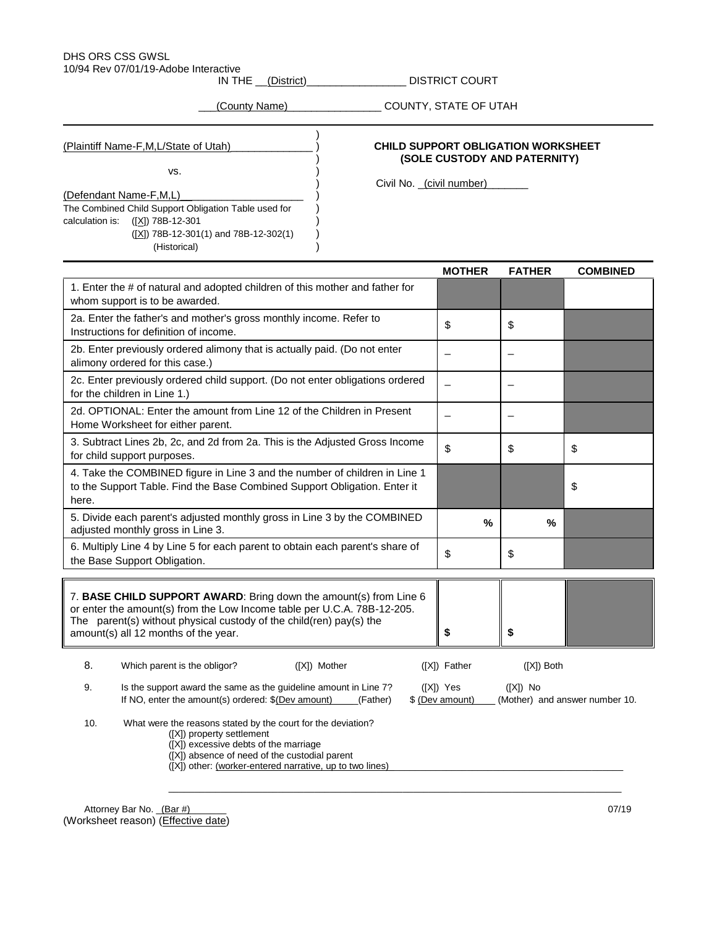# DHS ORS CSS GWSL

10/94 Rev 07/01/19-Adobe Interactive

IN THE \_\_(District)\_\_\_\_\_\_\_\_\_\_\_\_\_\_\_\_\_\_\_\_\_ DISTRICT COURT

)

\_\_\_(County Name)\_\_\_\_\_\_\_\_\_\_\_\_\_\_\_\_ COUNTY, STATE OF UTAH

vs. )

(Defendant Name-F,M,L)

The Combined Child Support Obligation Table used for ) calculation is:  $([X])$  78B-12-301

 $(\underline{[X]})$  78B-12-301(1) and 78B-12-302(1) (Historical) )

## (Plaintiff Name-F,M,L/State of Utah)\_\_\_\_\_\_\_\_\_\_\_\_\_\_ ) **CHILD SUPPORT OBLIGATION WORKSHEET** ) **(SOLE CUSTODY AND PATERNITY)**

Civil No. \_(civil number)

|                                                                                                                                                                                                                                                             |                                                                                                                                                                                                                                                 | <b>MOTHER</b>                | <b>FATHER</b>            | <b>COMBINED</b>                |
|-------------------------------------------------------------------------------------------------------------------------------------------------------------------------------------------------------------------------------------------------------------|-------------------------------------------------------------------------------------------------------------------------------------------------------------------------------------------------------------------------------------------------|------------------------------|--------------------------|--------------------------------|
| 1. Enter the # of natural and adopted children of this mother and father for<br>whom support is to be awarded.                                                                                                                                              |                                                                                                                                                                                                                                                 |                              |                          |                                |
| 2a. Enter the father's and mother's gross monthly income. Refer to<br>Instructions for definition of income.                                                                                                                                                |                                                                                                                                                                                                                                                 | \$                           | \$                       |                                |
| 2b. Enter previously ordered alimony that is actually paid. (Do not enter<br>alimony ordered for this case.)                                                                                                                                                |                                                                                                                                                                                                                                                 | $\overline{\phantom{0}}$     | $\overline{\phantom{0}}$ |                                |
| 2c. Enter previously ordered child support. (Do not enter obligations ordered<br>for the children in Line 1.)                                                                                                                                               |                                                                                                                                                                                                                                                 |                              | $\overline{\phantom{a}}$ |                                |
| 2d. OPTIONAL: Enter the amount from Line 12 of the Children in Present<br>Home Worksheet for either parent.                                                                                                                                                 |                                                                                                                                                                                                                                                 |                              |                          |                                |
| 3. Subtract Lines 2b, 2c, and 2d from 2a. This is the Adjusted Gross Income<br>for child support purposes.                                                                                                                                                  |                                                                                                                                                                                                                                                 | \$                           | \$                       | \$                             |
| 4. Take the COMBINED figure in Line 3 and the number of children in Line 1<br>to the Support Table. Find the Base Combined Support Obligation. Enter it<br>here.                                                                                            |                                                                                                                                                                                                                                                 |                              |                          | \$                             |
| 5. Divide each parent's adjusted monthly gross in Line 3 by the COMBINED<br>adjusted monthly gross in Line 3.                                                                                                                                               |                                                                                                                                                                                                                                                 | $\frac{0}{0}$                | %                        |                                |
| 6. Multiply Line 4 by Line 5 for each parent to obtain each parent's share of<br>the Base Support Obligation.                                                                                                                                               |                                                                                                                                                                                                                                                 | \$                           | \$                       |                                |
| 7. BASE CHILD SUPPORT AWARD: Bring down the amount(s) from Line 6<br>or enter the amount(s) from the Low Income table per U.C.A. 78B-12-205.<br>The parent(s) without physical custody of the child(ren) pay(s) the<br>amount(s) all 12 months of the year. |                                                                                                                                                                                                                                                 | \$                           | \$                       |                                |
| 8.                                                                                                                                                                                                                                                          | ([X]) Mother<br>Which parent is the obligor?                                                                                                                                                                                                    | ([X]) Father                 | $([X])$ Both             |                                |
| 9.                                                                                                                                                                                                                                                          | Is the support award the same as the guideline amount in Line 7?<br>If NO, enter the amount(s) ordered: $$(Dev amount)$ (Father)                                                                                                                | ([X]) Yes<br>\$ (Dev amount) | $([X])$ No               | (Mother) and answer number 10. |
| 10.                                                                                                                                                                                                                                                         | What were the reasons stated by the court for the deviation?<br>([X]) property settlement<br>([X]) excessive debts of the marriage<br>([X]) absence of need of the custodial parent<br>([X]) other: (worker-entered narrative, up to two lines) |                              |                          |                                |

Attorney Bar No. \_(Bar #)\_\_\_\_\_\_\_ 07/19 (Worksheet reason) (Effective date)